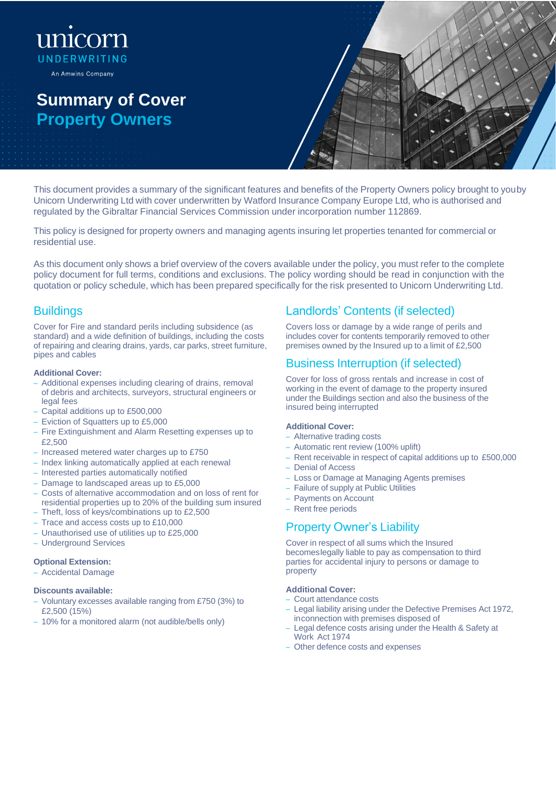# unicorn UNDERWRITING An Amwins Company

# **Summary of Cover Property Owners**



This document provides a summary of the significant features and benefits of the Property Owners policy brought to youby Unicorn Underwriting Ltd with cover underwritten by Watford Insurance Company Europe Ltd, who is authorised and regulated by the Gibraltar Financial Services Commission under incorporation number 112869.

This policy is designed for property owners and managing agents insuring let properties tenanted for commercial or residential use.

As this document only shows a brief overview of the covers available under the policy, you must refer to the complete policy document for full terms, conditions and exclusions. The policy wording should be read in conjunction with the quotation or policy schedule, which has been prepared specifically for the risk presented to Unicorn Underwriting Ltd.

## **Buildings**

Cover for Fire and standard perils including subsidence (as standard) and a wide definition of buildings, including the costs of repairing and clearing drains, yards, car parks, street furniture, pipes and cables

## **Additional Cover:**

- Additional expenses including clearing of drains, removal of debris and architects, surveyors, structural engineers or legal fees
- Capital additions up to £500,000
- Eviction of Squatters up to £5,000
- Fire Extinguishment and Alarm Resetting expenses up to £2,500
- Increased metered water charges up to £750
- Index linking automatically applied at each renewal
- Interested parties automatically notified
- Damage to landscaped areas up to £5,000
- Costs of alternative accommodation and on loss of rent for residential properties up to 20% of the building sum insured
- Theft, loss of keys/combinations up to £2,500
- Trace and access costs up to £10,000
- Unauthorised use of utilities up to £25,000
- Underground Services

## **Optional Extension:**

– Accidental Damage

#### **Discounts available:**

- Voluntary excesses available ranging from £750 (3%) to £2,500 (15%)
- 10% for a monitored alarm (not audible/bells only)

## Landlords' Contents (if selected)

Covers loss or damage by a wide range of perils and includes cover for contents temporarily removed to other premises owned by the Insured up to a limit of £2,500

## Business Interruption (if selected)

Cover for loss of gross rentals and increase in cost of working in the event of damage to the property insured under the Buildings section and also the business of the insured being interrupted

## **Additional Cover:**

- Alternative trading costs
- Automatic rent review (100% uplift)
- Rent receivable in respect of capital additions up to £500,000
- Denial of Access
- Loss or Damage at Managing Agents premises
- Failure of supply at Public Utilities
- Payments on Account
- Rent free periods

## Property Owner's Liability

Cover in respect of all sums which the Insured becomeslegally liable to pay as compensation to third parties for accidental injury to persons or damage to property

## **Additional Cover:**

- Court attendance costs
- Legal liability arising under the Defective Premises Act 1972, inconnection with premises disposed of
- Legal defence costs arising under the Health & Safety at Work Act 1974
- Other defence costs and expenses